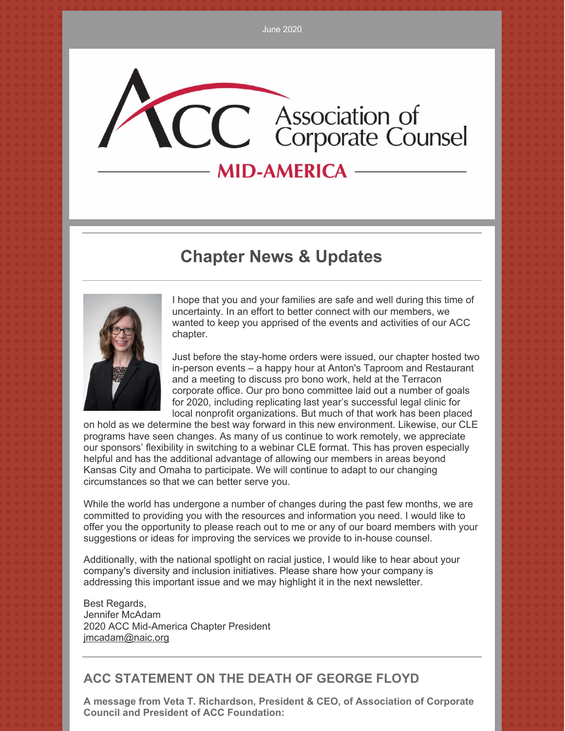# CC Association of<br>Corporate Counsel **MID-AMERICA -**

# **Chapter News & Updates**



I hope that you and your families are safe and well during this time of uncertainty. In an effort to better connect with our members, we wanted to keep you apprised of the events and activities of our ACC chapter.

Just before the stay-home orders were issued, our chapter hosted two in-person events – a happy hour at Anton's Taproom and Restaurant and a meeting to discuss pro bono work, held at the Terracon corporate office. Our pro bono committee laid out a number of goals for 2020, including replicating last year's successful legal clinic for local nonprofit organizations. But much of that work has been placed

on hold as we determine the best way forward in this new environment. Likewise, our CLE programs have seen changes. As many of us continue to work remotely, we appreciate our sponsors' flexibility in switching to a webinar CLE format. This has proven especially helpful and has the additional advantage of allowing our members in areas beyond Kansas City and Omaha to participate. We will continue to adapt to our changing circumstances so that we can better serve you.

While the world has undergone a number of changes during the past few months, we are committed to providing you with the resources and information you need. I would like to offer you the opportunity to please reach out to me or any of our board members with your suggestions or ideas for improving the services we provide to in-house counsel.

Additionally, with the national spotlight on racial justice, I would like to hear about your company's diversity and inclusion initiatives. Please share how your company is addressing this important issue and we may highlight it in the next newsletter.

Best Regards, Jennifer McAdam 2020 ACC Mid-America Chapter President [jmcadam@naic.org](mailto:jmcadam@naic.org)

### **ACC STATEMENT ON THE DEATH OF GEORGE FLOYD**

**A message from Veta T. Richardson, President & CEO, of Association of Corporate Council and President of ACC Foundation:**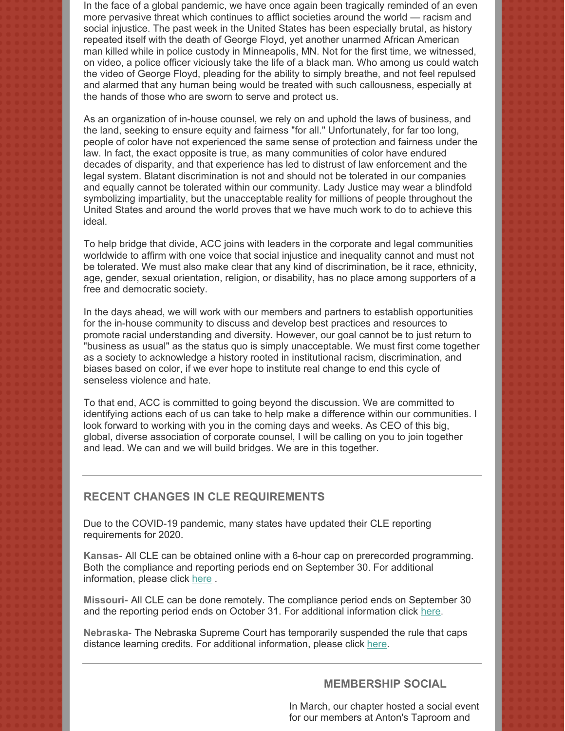In the face of a global pandemic, we have once again been tragically reminded of an even more pervasive threat which continues to afflict societies around the world — racism and social injustice. The past week in the United States has been especially brutal, as history repeated itself with the death of George Floyd, yet another unarmed African American man killed while in police custody in Minneapolis, MN. Not for the first time, we witnessed, on video, a police officer viciously take the life of a black man. Who among us could watch the video of George Floyd, pleading for the ability to simply breathe, and not feel repulsed and alarmed that any human being would be treated with such callousness, especially at the hands of those who are sworn to serve and protect us.

As an organization of in-house counsel, we rely on and uphold the laws of business, and the land, seeking to ensure equity and fairness "for all." Unfortunately, for far too long, people of color have not experienced the same sense of protection and fairness under the law. In fact, the exact opposite is true, as many communities of color have endured decades of disparity, and that experience has led to distrust of law enforcement and the legal system. Blatant discrimination is not and should not be tolerated in our companies and equally cannot be tolerated within our community. Lady Justice may wear a blindfold symbolizing impartiality, but the unacceptable reality for millions of people throughout the United States and around the world proves that we have much work to do to achieve this ideal.

To help bridge that divide, ACC joins with leaders in the corporate and legal communities worldwide to affirm with one voice that social injustice and inequality cannot and must not be tolerated. We must also make clear that any kind of discrimination, be it race, ethnicity, age, gender, sexual orientation, religion, or disability, has no place among supporters of a free and democratic society.

In the days ahead, we will work with our members and partners to establish opportunities for the in-house community to discuss and develop best practices and resources to promote racial understanding and diversity. However, our goal cannot be to just return to "business as usual" as the status quo is simply unacceptable. We must first come together as a society to acknowledge a history rooted in institutional racism, discrimination, and biases based on color, if we ever hope to institute real change to end this cycle of senseless violence and hate.

To that end, ACC is committed to going beyond the discussion. We are committed to identifying actions each of us can take to help make a difference within our communities. I look forward to working with you in the coming days and weeks. As CEO of this big, global, diverse association of corporate counsel, I will be calling on you to join together and lead. We can and we will build bridges. We are in this together.

#### **RECENT CHANGES IN CLE REQUIREMENTS**

Due to the COVID-19 pandemic, many states have updated their CLE reporting requirements for 2020.

**Kansas**- All CLE can be obtained online with a 6-hour cap on prerecorded programming. Both the compliance and reporting periods end on September 30. For additional information, please click [here](https://www.kscle.org/).

**Missouri**- All CLE can be done remotely. The compliance period ends on September 30 and the reporting period ends on October 31. For additional information click [here](https://mobar.org/site/MCLE/MCLE_Home/site/content/MCLE/My_MCLE.aspx?hkey=3816c777-d9e3-4ba7-90bf-6746680ce10c).

**Nebraska**- The Nebraska Supreme Court has temporarily suspended the rule that caps distance learning credits. For additional information, please click [here](https://supremecourt.nebraska.gov/nebraska-judicial-branch-emergency-status-information/orders).

#### **MEMBERSHIP SOCIAL**

In March, our chapter hosted a social event for our members at Anton's Taproom and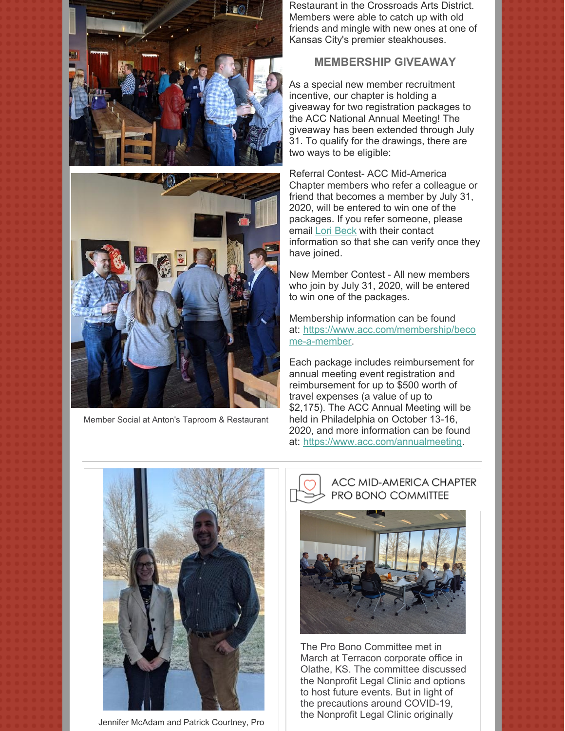



Member Social at Anton's Taproom & Restaurant

Restaurant in the Crossroads Arts District. Members were able to catch up with old friends and mingle with new ones at one of Kansas City's premier steakhouses.

#### **MEMBERSHIP GIVEAWAY**

As a special new member recruitment incentive, our chapter is holding a giveaway for two registration packages to the ACC National Annual Meeting! The giveaway has been extended through July 31. To qualify for the drawings, there are two ways to be eligible:

Referral Contest- ACC Mid-America Chapter members who refer a colleague or friend that becomes a member by July 31, 2020, will be entered to win one of the packages. If you refer someone, please email Lori [Beck](mailto:mid-america@accglobal.com) with their contact information so that she can verify once they have joined.

New Member Contest - All new members who join by July 31, 2020, will be entered to win one of the packages.

Membership information can be found at: [https://www.acc.com/membership/beco](https://www.acc.com/membership/become-a-member) me-a-member.

Each package includes reimbursement for annual meeting event registration and reimbursement for up to \$500 worth of travel expenses (a value of up to \$2,175). The ACC Annual Meeting will be held in Philadelphia on October 13-16, 2020, and more information can be found at: <https://www.acc.com/annualmeeting>.



Jennifer McAdam and Patrick Courtney, Pro

#### ACC MID-AMERICA CHAPTER PRO BONO COMMITTEE



The Pro Bono Committee met in March at Terracon corporate office in Olathe, KS. The committee discussed the Nonprofit Legal Clinic and options to host future events. But in light of the precautions around COVID-19, the Nonprofit Legal Clinic originally